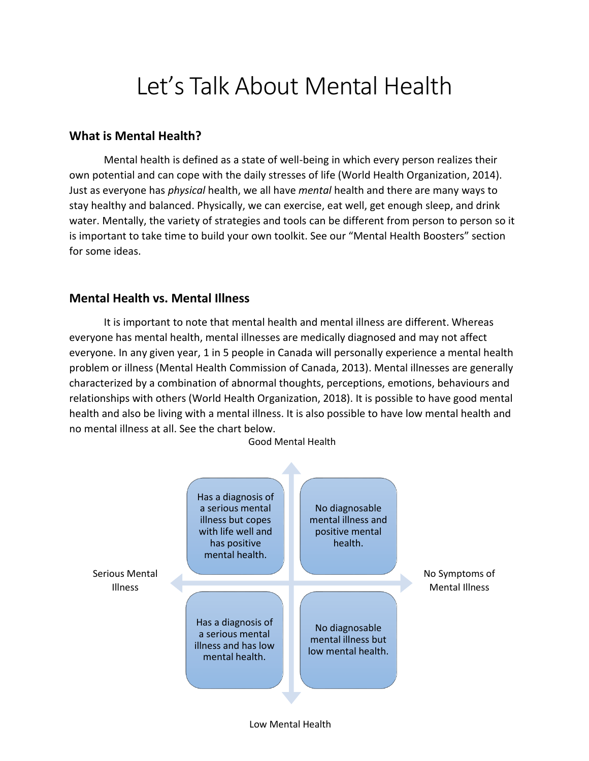# Let's Talk About Mental Health

### **What is Mental Health?**

Mental health is defined as a state of well-being in which every person realizes their own potential and can cope with the daily stresses of life (World Health Organization, 2014). Just as everyone has *physical* health, we all have *mental* health and there are many ways to stay healthy and balanced. Physically, we can exercise, eat well, get enough sleep, and drink water. Mentally, the variety of strategies and tools can be different from person to person so it is important to take time to build your own toolkit. See our "Mental Health Boosters" section for some ideas.

### **Mental Health vs. Mental Illness**

It is important to note that mental health and mental illness are different. Whereas everyone has mental health, mental illnesses are medically diagnosed and may not affect everyone. In any given year, 1 in 5 people in Canada will personally experience a mental health problem or illness (Mental Health Commission of Canada, 2013). Mental illnesses are generally characterized by a combination of abnormal thoughts, perceptions, emotions, behaviours and relationships with others (World Health Organization, 2018). It is possible to have good mental health and also be living with a mental illness. It is also possible to have low mental health and no mental illness at all. See the chart below.



Low Mental Health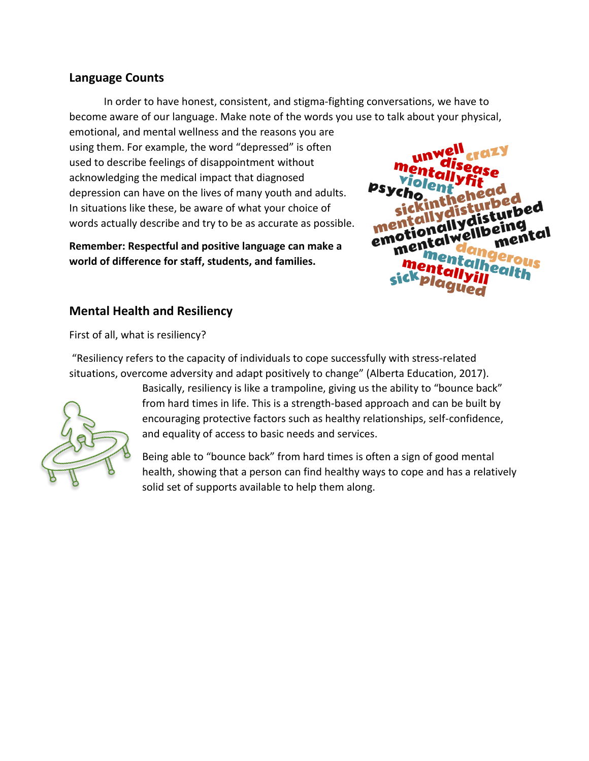#### **Language Counts**

In order to have honest, consistent, and stigma-fighting conversations, we have to become aware of our language. Make note of the words you use to talk about your physical,

emotional, and mental wellness and the reasons you are using them. For example, the word "depressed" is often used to describe feelings of disappointment without acknowledging the medical impact that diagnosed depression can have on the lives of many youth and adults. In situations like these, be aware of what your choice of words actually describe and try to be as accurate as possible.

**Remember: Respectful and positive language can make a world of difference for staff, students, and families.**



# **Mental Health and Resiliency**

First of all, what is resiliency?

"Resiliency refers to the capacity of individuals to cope successfully with stress-related situations, overcome adversity and adapt positively to change" (Alberta Education, 2017).



Basically, resiliency is like a trampoline, giving us the ability to "bounce back" from hard times in life. This is a strength-based approach and can be built by encouraging protective factors such as healthy relationships, self-confidence, and equality of access to basic needs and services.

Being able to "bounce back" from hard times is often a sign of good mental health, showing that a person can find healthy ways to cope and has a relatively solid set of supports available to help them along.